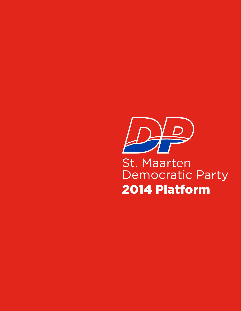

St. Maarten Democratic Party 2014 Platform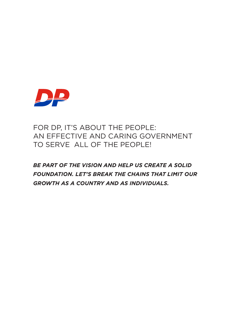

# FOR DP, IT'S ABOUT THE PEOPLE: AN EFFECTIVE AND CARING GOVERNMENT TO SERVE ALL OF THE PEOPLE!

*BE PART OF THE VISION AND HELP US CREATE A SOLID FOUNDATION. LET'S BREAK THE CHAINS THAT LIMIT OUR GROWTH AS A COUNTRY AND AS INDIVIDUALS.*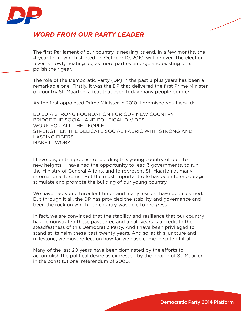

### *WORD FROM OUR PARTY LEADER*

The first Parliament of our country is nearing its end. In a few months, the 4-year term, which started on October 10, 2010, will be over. The election fever is slowly heating up, as more parties emerge and existing ones polish their gear.

The role of the Democratic Party (DP) in the past 3 plus years has been a remarkable one. Firstly, it was the DP that delivered the first Prime Minister of country St. Maarten, a feat that even today many people ponder.

As the first appointed Prime Minister in 2010, I promised you I would:

BUILD A STRONG FOUNDATION FOR OUR NEW COUNTRY. BRIDGE THE SOCIAL AND POLITICAL DIVIDES. WORK FOR ALL THE PEOPLE. STRENGTHEN THE DELICATE SOCIAL FABRIC WITH STRONG AND LASTING FIBERS. MAKE IT WORK.

I have begun the process of building this young country of ours to new heights. I have had the opportunity to lead 3 governments, to run the Ministry of General Affairs, and to represent St. Maarten at many international forums. But the most important role has been to encourage, stimulate and promote the building of our young country.

We have had some turbulent times and many lessons have been learned. But through it all, the DP has provided the stability and governance and been the rock on which our country was able to progress.

In fact, we are convinced that the stability and resilience that our country has demonstrated these past three and a half years is a credit to the steadfastness of this Democratic Party. And I have been privileged to stand at its helm these past twenty years. And so, at this juncture and milestone, we must reflect on how far we have come in spite of it all.

Many of the last 20 years have been dominated by the efforts to accomplish the political desire as expressed by the people of St. Maarten in the constitutional referendum of 2000.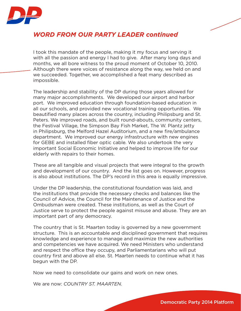

# *WORD FROM OUR PARTY LEADER continued*

I took this mandate of the people, making it my focus and serving it with all the passion and energy I had to give. After many long days and months, we all bore witness to the proud moment of October 10, 2010. Although there were voices of resistance along the way, we held on and we succeeded. Together, we accomplished a feat many described as impossible.

The leadership and stability of the DP during those years allowed for many major accomplishments. We developed our airport and harbor port. We improved education through foundation-based education in all our schools, and provided new vocational training opportunities. We beautified many places across the country, including Philipsburg and St. Peters. We improved roads, and built round-abouts, community centers, the Festival Village, the Simpson Bay Fish Market, The W. Plantz jetty in Philipsburg, the Melford Hazel Auditorium, and a new fire/ambulance department. We improved our energy infrastructure with new engines for GEBE and installed fiber optic cable. We also undertook the very important Social Economic Initiative and helped to improve life for our elderly with repairs to their homes.

These are all tangible and visual projects that were integral to the growth and development of our country. And the list goes on. However, progress is also about institutions. The DP's record in this area is equally impressive.

Under the DP leadership, the constitutional foundation was laid, and the institutions that provide the necessary checks and balances like the Council of Advice, the Council for the Maintenance of Justice and the Ombudsman were created. These institutions, as well as the Court of Justice serve to protect the people against misuse and abuse. They are an important part of any democracy.

The country that is St. Maarten today is governed by a new government structure. This is an accountable and disciplined government that requires knowledge and experience to manage and maximize the new authorities and competencies we have acquired. We need Ministers who understand and respect the office they occupy, and Parliamentarians who will put country first and above all else. St. Maarten needs to continue what it has begun with the DP.

Now we need to consolidate our gains and work on new ones.

We are now: *COUNTRY ST. MAARTEN.*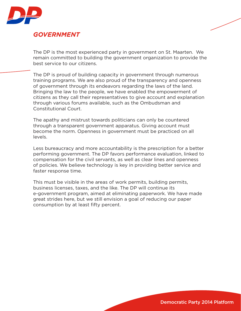

### *GOVERNMENT*

The DP is the most experienced party in government on St. Maarten. We remain committed to building the government organization to provide the best service to our citizens.

The DP is proud of building capacity in government through numerous training programs. We are also proud of the transparency and openness of government through its endeavors regarding the laws of the land. Bringing the law to the people, we have enabled the empowerment of citizens as they call their representatives to give account and explanation through various forums available, such as the Ombudsman and Constitutional Court.

The apathy and mistrust towards politicians can only be countered through a transparent government apparatus. Giving account must become the norm. Openness in government must be practiced on all levels.

Less bureaucracy and more accountability is the prescription for a better performing government. The DP favors performance evaluation, linked to compensation for the civil servants, as well as clear lines and openness of policies. We believe technology is key in providing better service and faster response time.

This must be visible in the areas of work permits, building permits, business licenses, taxes, and the like. The DP will continue its e-government program, aimed at eliminating paperwork. We have made great strides here, but we still envision a goal of reducing our paper consumption by at least fifty percent.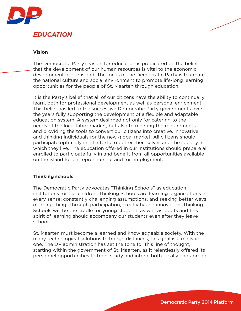

### *EDUCATION*

#### **Vision**

The Democratic Party's vision for education is predicated on the belief that the development of our human resources is vital to the economic development of our island. The focus of the Democratic Party is to create the national culture and social environment to promote life-long learning opportunities for the people of St. Maarten through education.

It is the Party's belief that all of our citizens have the ability to continually learn, both for professional development as well as personal enrichment. This belief has led to the successive Democratic Party governments over the years fully supporting the development of a flexible and adaptable education system. A system designed not only for catering to the needs of the local labor market, but also to meeting the requirements and providing the tools to convert our citizens into creative, innovative and thinking individuals for the new global market. All citizens should participate optimally in all efforts to better themselves and the society in which they live. The education offered in our institutions should prepare all enrolled to participate fully in and benefit from all opportunities available on the island for entrepreneurship and for employment.

#### **Thinking schools**

The Democratic Party advocates "Thinking Schools" as education institutions for our children. Thinking Schools are learning organizations in every sense: constantly challenging assumptions, and seeking better ways of doing things through participation, creativity and innovation. Thinking Schools will be the cradle for young students as well as adults and this spirit of learning should accompany our students even after they leave school.

St. Maarten must become a learned and knowledgeable society. With the many technological solutions to bridge distances, this goal is a realistic one. The DP administration has set the tone for this line of thought, starting within the government of St. Maarten, as it relentlessly offered its personnel opportunities to train, study and intern, both locally and abroad.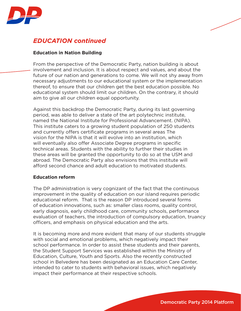

# *EDUCATION continued*

#### **Education in Nation Building**

From the perspective of the Democratic Party, nation building is about involvement and inclusion. It is about respect and values, and about the future of our nation and generations to come. We will not shy away from necessary adjustments to our educational system or the implementation thereof, to ensure that our children get the best education possible. No educational system should limit our children. On the contrary, it should aim to give all our children equal opportunity.

Against this backdrop the Democratic Party, during its last governing period, was able to deliver a state of the art polytechnic institute, named the National Institute for Professional Advancement. (NIPA). This institute caters to a growing student population of 250 students and currently offers certificate programs in several areas The vision for the NIPA is that it will evolve into an institution, which will eventually also offer Associate Degree programs in specific technical areas. Students with the ability to further their studies in these areas will be granted the opportunity to do so at the USM and abroad. The Democratic Party also envisions that this institute will afford second chance and adult education to motivated students.

#### **Education reform**

The DP administration is very cognizant of the fact that the continuous improvement in the quality of education on our island requires periodic educational reform. That is the reason DP introduced several forms of education innovations, such as: smaller class rooms, quality control, early diagnosis, early childhood care, community schools, performance evaluation of teachers, the introduction of compulsory education, truancy officers, and emphasis on physical education and the arts.

It is becoming more and more evident that many of our students struggle with social and emotional problems, which negatively impact their school performance. In order to assist these students and their parents, the Student Support Services was established within the Ministry of Education, Culture, Youth and Sports. Also the recently constructed school in Belvedere has been designated as an Education Care Center, intended to cater to students with behavioral issues, which negatively impact their performance at their respective schools.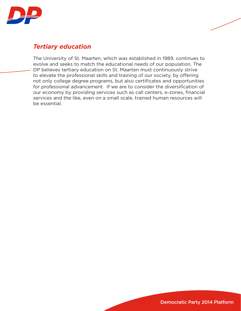



The University of St. Maarten, which was established in 1989, continues to evolve and seeks to match the educational needs of our population. The DP believes tertiary education on St. Maarten must continuously strive to elevate the professional skills and training of our society, by offering not only college degree programs, but also certificates and opportunities for professional advancement. If we are to consider the diversification of our economy by providing services such as call centers, e-zones, financial services and the like, even on a small scale, trained human resources will be essential.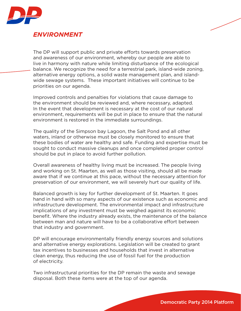

### *ENVIRONMENT*

The DP will support public and private efforts towards preservation and awareness of our environment, whereby our people are able to live in harmony with nature while limiting disturbance of the ecological balance. We recognize the need for a terrestrial park, island-wide zoning, alternative energy options, a solid waste management plan, and islandwide sewage systems. These important initiatives will continue to be priorities on our agenda.

Improved controls and penalties for violations that cause damage to the environment should be reviewed and, where necessary, adapted. In the event that development is necessary at the cost of our natural environment, requirements will be put in place to ensure that the natural environment is restored in the immediate surroundings.

The quality of the Simpson bay Lagoon, the Salt Pond and all other waters, inland or otherwise must be closely monitored to ensure that these bodies of water are healthy and safe. Funding and expertise must be sought to conduct massive cleanups and once completed proper control should be put in place to avoid further pollution.

Overall awareness of healthy living must be increased. The people living and working on St. Maarten, as well as those visiting, should all be made aware that if we continue at this pace, without the necessary attention for preservation of our environment, we will severely hurt our quality of life.

Balanced growth is key for further development of St. Maarten. It goes hand in hand with so many aspects of our existence such as economic and infrastructure development. The environmental impact and infrastructure implications of any investment must be weighed against its economic benefit. Where the industry already exists, the maintenance of the balance between man and nature will have to be a collaborative effort between that industry and government.

DP will encourage environmentally friendly energy sources and solutions and alternative energy explorations. Legislation will be created to grant tax incentives to businesses and households that invest in alternative clean energy, thus reducing the use of fossil fuel for the production of electricity.

Two infrastructural priorities for the DP remain the waste and sewage disposal. Both these items were at the top of our agenda.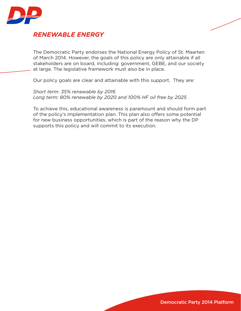

### *RENEWABLE ENERGY*

The Democratic Party endorses the National Energy Policy of St. Maarten of March 2014. However, the goals of this policy are only attainable if all stakeholders are on board, including: government, GEBE, and our society at large. The legislative framework must also be in place.

Our policy goals are clear and attainable with this support. They are:

*Short term: 35% renewable by 2016 Long term: 80% renewable by 2020 and 100% HF oil free by 2025*

To achieve this, educational awareness is paramount and should form part of the policy's implementation plan. This plan also offers some potential for new business opportunities, which is part of the reason why the DP supports this policy and will commit to its execution.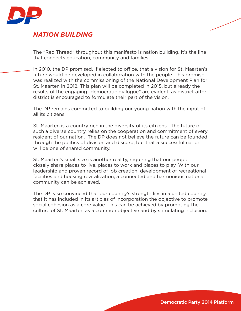

### *NATION BUILDING*

The "Red Thread" throughout this manifesto is nation building. It's the line that connects education, community and families.

In 2010, the DP promised, if elected to office, that a vision for St. Maarten's future would be developed in collaboration with the people. This promise was realized with the commissioning of the National Development Plan for St. Maarten in 2012. This plan will be completed in 2015, but already the results of the engaging "democratic dialogue" are evident, as district after district is encouraged to formulate their part of the vision.

The DP remains committed to building our young nation with the input of all its citizens.

St. Maarten is a country rich in the diversity of its citizens. The future of such a diverse country relies on the cooperation and commitment of every resident of our nation. The DP does not believe the future can be founded through the politics of division and discord, but that a successful nation will be one of shared community.

St. Maarten's small size is another reality, requiring that our people closely share places to live, places to work and places to play. With our leadership and proven record of job creation, development of recreational facilities and housing revitalization, a connected and harmonious national community can be achieved.

The DP is so convinced that our country's strength lies in a united country, that it has included in its articles of incorporation the objective to promote social cohesion as a core value. This can be achieved by promoting the culture of St. Maarten as a common objective and by stimulating inclusion.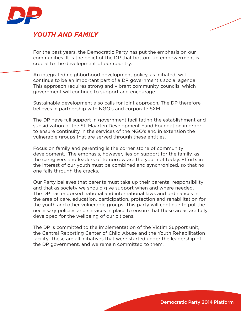

### *YOUTH AND FAMILY*

For the past years, the Democratic Party has put the emphasis on our communities. It is the belief of the DP that bottom-up empowerment is crucial to the development of our country.

An integrated neighborhood development policy, as initiated, will continue to be an important part of a DP government's social agenda. This approach requires strong and vibrant community councils, which government will continue to support and encourage.

Sustainable development also calls for joint approach. The DP therefore believes in partnership with NGO's and corporate SXM.

The DP gave full support in government facilitating the establishment and subsidization of the St. Maarten Development Fund Foundation in order to ensure continuity in the services of the NGO's and in extension the vulnerable groups that are served through these entities.

Focus on family and parenting is the corner stone of community development. The emphasis, however, lies on support for the family, as the caregivers and leaders of tomorrow are the youth of today. Efforts in the interest of our youth must be combined and synchronized, so that no one falls through the cracks.

Our Party believes that parents must take up their parental responsibility and that as society we should give support when and where needed. The DP has endorsed national and international laws and ordinances in the area of care, education, participation, protection and rehabilitation for the youth and other vulnerable groups. This party will continue to put the necessary policies and services in place to ensure that these areas are fully developed for the wellbeing of our citizens.

The DP is committed to the implementation of the Victim Support unit, the Central Reporting Center of Child Abuse and the Youth Rehabilitation facility. These are all initiatives that were started under the leadership of the DP government, and we remain committed to them.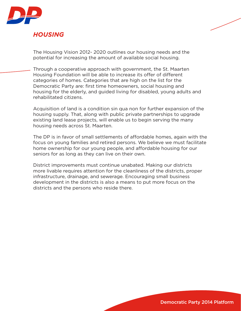

### *HOUSING*

The Housing Vision 2012- 2020 outlines our housing needs and the potential for increasing the amount of available social housing.

Through a cooperative approach with government, the St. Maarten Housing Foundation will be able to increase its offer of different categories of homes. Categories that are high on the list for the Democratic Party are: first time homeowners, social housing and housing for the elderly, and guided living for disabled, young adults and rehabilitated citizens.

Acquisition of land is a condition sin qua non for further expansion of the housing supply. That, along with public private partnerships to upgrade existing land lease projects, will enable us to begin serving the many housing needs across St. Maarten.

The DP is in favor of small settlements of affordable homes, again with the focus on young families and retired persons. We believe we must facilitate home ownership for our young people, and affordable housing for our seniors for as long as they can live on their own.

District improvements must continue unabated. Making our districts more livable requires attention for the cleanliness of the districts, proper infrastructure, drainage, and sewerage. Encouraging small business development in the districts is also a means to put more focus on the districts and the persons who reside there.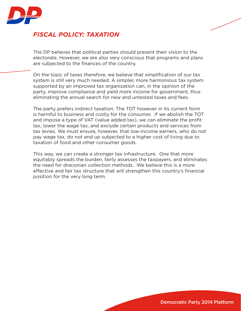

# *FISCAL POLICY: TAXATION*

The DP believes that political parties should present their vision to the electorate. However, we are also very conscious that programs and plans are subjected to the finances of the country.

On the topic of taxes therefore, we believe that simplification of our tax system is still very much needed. A simpler, more harmonious tax system supported by an improved tax organization can, in the opinion of the party, improve compliance and yield more income for government, thus eliminating the annual search for new and untested taxes and fees.

The party prefers indirect taxation. The TOT however in its current form is harmful to business and costly for the consumer. If we abolish the TOT and impose a type of VAT (value added tax), we can eliminate the profit tax, lower the wage tax, and exclude certain products and services from tax levies. We must ensure, however, that low-income earners, who do not pay wage tax, do not end up subjected to a higher cost of living due to taxation of food and other consumer goods.

This way, we can create a stronger tax infrastructure. One that more equitably spreads the burden, fairly assesses the taxpayers, and eliminates the need for draconian collection methods. We believe this is a more effective and fair tax structure that will strengthen this country's financial position for the very long term.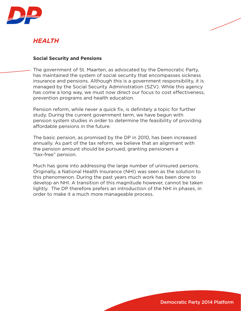

### *HEALTH*

#### **Social Security and Pensions**

The government of St. Maarten, as advocated by the Democratic Party, has maintained the system of social security that encompasses sickness insurance and pensions. Although this is a government responsibility, it is managed by the Social Security Administration (SZV). While this agency has come a long way, we must now direct our focus to cost effectiveness, prevention programs and health education.

Pension reform, while never a quick fix, is definitely a topic for further study. During the current government term, we have begun with pension system studies in order to determine the feasibility of providing affordable pensions in the future.

The basic pension, as promised by the DP in 2010, has been increased annually. As part of the tax reform, we believe that an alignment with the pension amount should be pursued, granting pensioners a "tax-free" pension.

Much has gone into addressing the large number of uninsured persons. Originally, a National Health Insurance (NHI) was seen as the solution to this phenomenon. During the past years much work has been done to develop an NHI. A transition of this magnitude however, cannot be taken lightly. The DP therefore prefers an introduction of the NHI in phases, in order to make it a much more manageable process.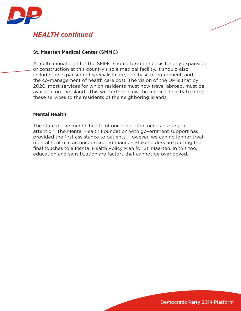

# *HEALTH continued*

#### **St. Maarten Medical Center (SMMC)**

A multi annual plan for the SMMC should form the basis for any expansion or construction at this country's sole medical facility. It should also include the expansion of specialist care, purchase of equipment, and the co-management of health care cost. The vision of the DP is that by 2020, most services for which residents must now travel abroad, must be available on the island. This will further allow the medical facility to offer these services to the residents of the neighboring islands.

#### **Mental Health**

The state of the mental health of our population needs our urgent attention. The Mental Health Foundation with government support has provided the first assistance to patients. However, we can no longer treat mental health in an uncoordinated manner. Stakeholders are putting the final touches to a Mental Health Policy Plan for St. Maarten. In this too, education and sensitization are factors that cannot be overlooked.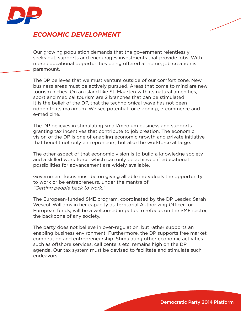

### *ECONOMIC DEVELOPMENT*

Our growing population demands that the government relentlessly seeks out, supports and encourages investments that provide jobs. With more educational opportunities being offered at home, job creation is paramount.

The DP believes that we must venture outside of our comfort zone. New business areas must be actively pursued. Areas that come to mind are new tourism niches. On an island like St. Maarten with its natural amenities, sport and medical tourism are 2 branches that can be stimulated. It is the belief of the DP, that the technological wave has not been ridden to its maximum. We see potential for e-zoning, e-commerce and e-medicine.

The DP believes in stimulating small/medium business and supports granting tax incentives that contribute to job creation. The economic vision of the DP is one of enabling economic growth and private initiative that benefit not only entrepreneurs, but also the workforce at large.

The other aspect of that economic vision is to build a knowledge society and a skilled work force, which can only be achieved if educational possibilities for advancement are widely available.

Government focus must be on giving all able individuals the opportunity to work or be entrepreneurs, under the mantra of: *"Getting people back to work."* 

The European-funded SME program, coordinated by the DP Leader, Sarah Wescot-Williams in her capacity as Territorial Authorizing Officer for European funds, will be a welcomed impetus to refocus on the SME sector, the backbone of any society.

The party does not believe in over-regulation, but rather supports an enabling business environment. Furthermore, the DP supports free market competition and entrepreneurship. Stimulating other economic activities such as offshore services, call centers etc. remains high on the DP agenda. Our tax system must be devised to facilitate and stimulate such endeavors.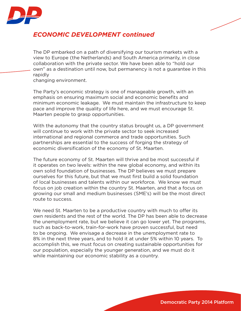

### *ECONOMIC DEVELOPMENT continued*

The DP embarked on a path of diversifying our tourism markets with a view to Europe (the Netherlands) and South America primarily, in close collaboration with the private sector. We have been able to "hold our own" as a destination until now, but permanency is not a guarantee in this rapidly

changing environment.

The Party's economic strategy is one of manageable growth, with an emphasis on ensuring maximum social and economic benefits and minimum economic leakage. We must maintain the infrastructure to keep pace and improve the quality of life here, and we must encourage St. Maarten people to grasp opportunities.

With the autonomy that the country status brought us, a DP government will continue to work with the private sector to seek increased international and regional commerce and trade opportunities. Such partnerships are essential to the success of forging the strategy of economic diversification of the economy of St. Maarten.

The future economy of St. Maarten will thrive and be most successful if it operates on two levels: within the new global economy, and within its own solid foundation of businesses. The DP believes we must prepare ourselves for this future, but that we must first build a solid foundation of local businesses and talents within our workforce. We know we must focus on job creation within the country St. Maarten, and that a focus on growing our small and medium businesses (SME's) will be the most direct route to success.

We need St. Maarten to be a productive country with much to offer its own residents and the rest of the world. The DP has been able to decrease the unemployment rate, but we believe it can go lower yet. The programs, such as back-to-work, train-for-work have proven successful, but need to be ongoing. We envisage a decrease in the unemployment rate to 8% in the next three years, and to hold it at under 5% within 10 years. To accomplish this, we must focus on creating sustainable opportunities for our population, especially the younger generation, and we must do it while maintaining our economic stability as a country.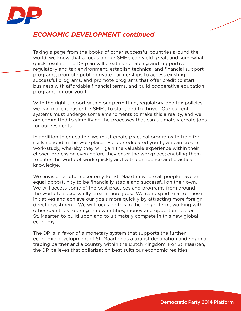

### *ECONOMIC DEVELOPMENT continued*

Taking a page from the books of other successful countries around the world, we know that a focus on our SME's can yield great, and somewhat quick results. The DP plan will create an enabling and supportive regulatory and tax environment, establish technical and financial support programs, promote public private partnerships to access existing successful programs, and promote programs that offer credit to start business with affordable financial terms, and build cooperative education programs for our youth.

With the right support within our permitting, regulatory, and tax policies, we can make it easier for SME's to start, and to thrive. Our current systems must undergo some amendments to make this a reality, and we are committed to simplifying the processes that can ultimately create jobs for our residents.

In addition to education, we must create practical programs to train for skills needed in the workplace. For our educated youth, we can create work-study, whereby they will gain the valuable experience within their chosen profession even before they enter the workplace; enabling them to enter the world of work quickly and with confidence and practical knowledge.

We envision a future economy for St. Maarten where all people have an equal opportunity to be financially stable and successful on their own. We will access some of the best practices and programs from around the world to successfully create more jobs. We can expedite all of these initiatives and achieve our goals more quickly by attracting more foreign direct investment. We will focus on this in the longer term, working with other countries to bring in new entities, money and opportunities for St. Maarten to build upon and to ultimately compete in this new global economy.

The DP is in favor of a monetary system that supports the further economic development of St. Maarten as a tourist destination and regional trading partner and a country within the Dutch Kingdom. For St. Maarten, the DP believes that dollarization best suits our economic realities.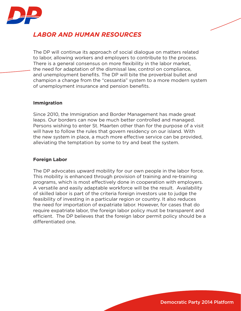

# *LABOR AND HUMAN RESOURCES*

The DP will continue its approach of social dialogue on matters related to labor, allowing workers and employers to contribute to the process. There is a general consensus on more flexibility in the labor market, the need for adaptation of the dismissal law, control on compliance, and unemployment benefits. The DP will bite the proverbial bullet and champion a change from the "cessantia" system to a more modern system of unemployment insurance and pension benefits.

#### **Immigration**

Since 2010, the Immigration and Border Management has made great leaps. Our borders can now be much better controlled and managed. Persons wishing to enter St. Maarten other than for the purpose of a visit will have to follow the rules that govern residency on our island. With the new system in place, a much more effective service can be provided, alleviating the temptation by some to try and beat the system.

#### **Foreign Labor**

The DP advocates upward mobility for our own people in the labor force. This mobility is enhanced through provision of training and re-training programs, which is most effectively done in cooperation with employers. A versatile and easily adaptable workforce will be the result. Availability of skilled labor is part of the criteria foreign investors use to judge the feasibility of investing in a particular region or country. It also reduces the need for importation of expatriate labor. However, for cases that do require expatriate labor, the foreign labor policy must be transparent and efficient. The DP believes that the foreign labor permit policy should be a differentiated one.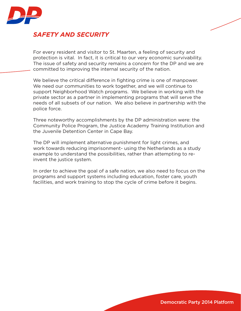

### *SAFETY AND SECURITY*

For every resident and visitor to St. Maarten, a feeling of security and protection is vital. In fact, it is critical to our very economic survivability. The issue of safety and security remains a concern for the DP and we are committed to improving the internal security of the nation.

We believe the critical difference in fighting crime is one of manpower. We need our communities to work together, and we will continue to support Neighborhood Watch programs. We believe in working with the private sector as a partner in implementing programs that will serve the needs of all subsets of our nation. We also believe in partnership with the police force.

Three noteworthy accomplishments by the DP administration were: the Community Police Program, the Justice Academy Training Institution and the Juvenile Detention Center in Cape Bay.

The DP will implement alternative punishment for light crimes, and work towards reducing imprisonment- using the Netherlands as a study example to understand the possibilities, rather than attempting to reinvent the justice system.

In order to achieve the goal of a safe nation, we also need to focus on the programs and support systems including education, foster care, youth facilities, and work training to stop the cycle of crime before it begins.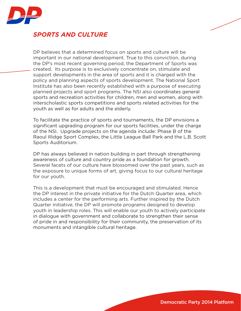

### *SPORTS AND CULTURE*

DP believes that a determined focus on sports and culture will be important in our national development. True to this conviction, during the DP's most recent governing period, the Department of Sports was created. Its purpose is to exclusively concentrate on, stimulate and support developments in the area of sports and it is charged with the policy and planning aspects of sports development. The National Sport Institute has also been recently established with a purpose of executing planned projects and sport programs. The NSI also coordinates general sports and recreation activities for children, men and women, along with interscholastic sports competitions and sports related activities for the youth as well as for adults and the elderly.

To facilitate the practice of sports and tournaments, the DP envisions a significant upgrading program for our sports facilities, under the charge of the NSI. Upgrade projects on the agenda include: Phase B of the Raoul Illidge Sport Complex, the Little League Ball Park and the L.B. Scott Sports Auditorium.

DP has always believed in nation building in part through strengthening awareness of culture and country pride as a foundation for growth. Several facets of our culture have blossomed over the past years, such as the exposure to unique forms of art, giving focus to our cultural heritage for our youth.

This is a development that must be encouraged and stimulated. Hence the DP interest in the private initiative for the Dutch Quarter area, which includes a center for the performing arts. Further inspired by the Dutch Quarter initiative, the DP will promote programs designed to develop youth in leadership roles. This will enable our youth to actively participate in dialogue with government and collaborate to strengthen their sense of pride in and responsibility for their community, the preservation of its monuments and intangible cultural heritage.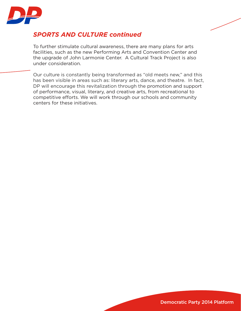

# *SPORTS AND CULTURE continued*

To further stimulate cultural awareness, there are many plans for arts facilities, such as the new Performing Arts and Convention Center and the upgrade of John Larmonie Center. A Cultural Track Project is also under consideration.

Our culture is constantly being transformed as "old meets new," and this has been visible in areas such as: literary arts, dance, and theatre. In fact, DP will encourage this revitalization through the promotion and support of performance, visual, literary, and creative arts, from recreational to competitive efforts. We will work through our schools and community centers for these initiatives.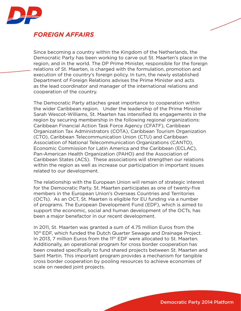

### *FOREIGN AFFAIRS*

Since becoming a country within the Kingdom of the Netherlands, the Democratic Party has been working to carve out St. Maarten's place in the region, and in the world. The DP Prime Minister, responsible for the foreign relations of St. Maarten, is charged with the formulation, promotion and execution of the country's foreign policy. In turn, the newly established Department of Foreign Relations advises the Prime Minister and acts as the lead coordinator and manager of the international relations and cooperation of the country.

The Democratic Party attaches great importance to cooperation within the wider Caribbean region. Under the leadership of the Prime Minister Sarah Wescot-Williams, St. Maarten has intensified its engagements in the region by securing membership in the following regional organizations: Caribbean Financial Action Task Force Agency (CFATF), Caribbean Organization Tax Administrators (COTA), Caribbean Tourism Organization (CTO), Caribbean Telecommunication Union (CTU) and Caribbean Association of National Telecommunication Organizations (CANTO), Economic Commission for Latin America and the Caribbean (ECLAC), Pan-American Health Organization (PAHO) and the Association of Caribbean States (ACS). These associations will strengthen our relations within the region as well as increase our participation in important issues related to our development.

The relationship with the European Union will remain of strategic interest for the Democratic Party. St. Maarten participates as one of twenty-five members in the European Union's Overseas Countries and Territories (OCTs). As an OCT, St. Maarten is eligible for EU funding via a number of programs. The European Development Fund (EDF), which is aimed to support the economic, social and human development of the OCTs, has been a major benefactor in our recent development.

In 2011, St. Maarten was granted a sum of 4.75 million Euros from the 10<sup>th</sup> EDF, which funded the Dutch Quarter Sewage and Drainage Project. In 2013, 7 million Euros from the 11<sup>th</sup> EDF were allocated to St. Maarten. Additionally, an operational program for cross border cooperation has been created specifically to fund shared projects between St. Maarten and Saint Martin. This important program provides a mechanism for tangible cross border cooperation by pooling resources to achieve economies of scale on needed joint projects.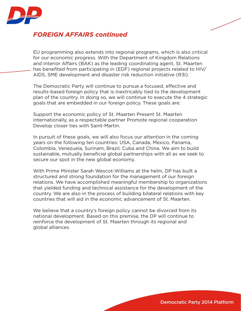

# *FOREIGN AFFAIRS continued*

EU programming also extends into regional programs, which is also critical for our economic progress. With the Department of Kingdom Relations and Interior Affairs (BAK) as the leading coordinating agent, St. Maarten has benefited from participating in (EDF) regional projects related to HIV/ AIDS, SME development and disaster risk reduction initiative (R3I).

The Democratic Party will continue to pursue a focused, effective and results-based foreign policy that is inextricably tied to the development plan of the country. In doing so, we will continue to execute the 4 strategic goals that are embedded in our foreign policy. These goals are:

Support the economic policy of St. Maarten Present St. Maarten internationally, as a respectable partner Promote regional cooperation Develop closer ties with Saint-Martin.

In pursuit of these goals, we will also focus our attention in the coming years on the following ten countries: USA, Canada, Mexico, Panama, Colombia, Venezuela, Surinam, Brazil, Cuba and China. We aim to build sustainable, mutually beneficial global partnerships with all as we seek to secure our spot in the new global economy.

With Prime Minister Sarah Wescot-Williams at the helm, DP has built a structured and strong foundation for the management of our foreign relations. We have accomplished meaningful membership to organizations that yielded funding and technical assistance for the development of the country. We are also in the process of building bilateral relations with key countries that will aid in the economic advancement of St. Maarten.

We believe that a country's foreign policy cannot be divorced from its national development. Based on this premise, the DP will continue to reinforce the development of St. Maarten through its regional and global alliances.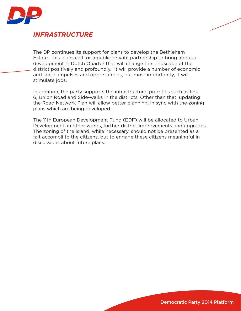

### *INFRASTRUCTURE*

The DP continues its support for plans to develop the Bethlehem Estate. This plans call for a public private partnership to bring about a development in Dutch Quarter that will change the landscape of the district positively and profoundly. It will provide a number of economic and social impulses and opportunities, but most importantly, it will stimulate jobs.

In addition, the party supports the infrastructural priorities such as link 6, Union Road and Side-walks in the districts. Other than that, updating the Road Network Plan will allow better planning, in sync with the zoning plans which are being developed.

The 11th European Development Fund (EDF) will be allocated to Urban Development, in other words, further district improvements and upgrades. The zoning of the island, while necessary, should not be presented as a fait accompli to the citizens, but to engage these citizens meaningful in discussions about future plans.